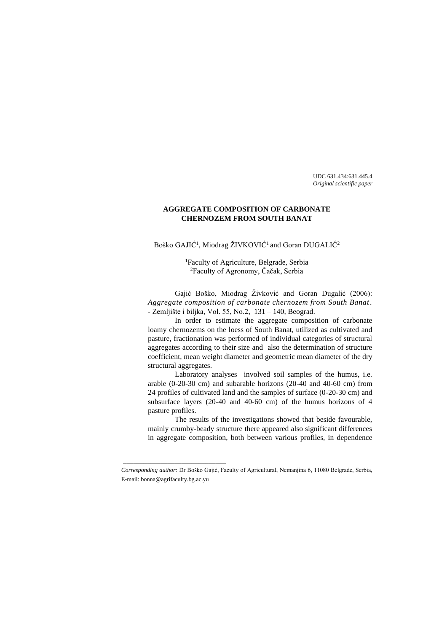UDC 631.434:631.445.4 *Original scientific paper*

# **AGGREGATE COMPOSITION OF CARBONATE CHERNOZEM FROM SOUTH BANAT**

Boško GAJIĆ<sup>1</sup>, Miodrag ŽIVKOVIĆ<sup>1</sup> and Goran DUGALIĆ<sup>2</sup>

<sup>1</sup>Faculty of Agriculture, Belgrade, Serbia <sup>2</sup>Faculty of Agronomy, Čačak, Serbia

Gajić Boško, Miodrag Živković and Goran Dugalić (2006): *Aggregate composition of carbonate chernozem from South Banat*. - Zemljište i biljka, Vol. 55, No.2, 131 – 140, Beograd.

In order to estimate the aggregate composition of carbonate loamy chernozems on the loess of South Banat, utilized as cultivated and pasture, fractionation was performed of individual categories of structural aggregates according to their size and also the determination of structure coefficient, mean weight diameter and geometric mean diameter of the dry structural aggregates.

Laboratory analyses involved soil samples of the humus, i.e. arable (0-20-30 cm) and subarable horizons (20-40 and 40-60 cm) from 24 profiles of cultivated land and the samples of surface (0-20-30 cm) and subsurface layers (20-40 and 40-60 cm) of the humus horizons of 4 pasture profiles.

The results of the investigations showed that beside favourable, mainly crumby-beady structure there appeared also significant differences in aggregate composition, both between various profiles, in dependence

\_\_\_\_\_\_\_\_\_\_\_\_\_\_\_\_\_\_\_\_\_\_\_\_\_\_\_\_\_\_

*Corresponding author:* Dr Boško Gajić, Faculty of Agricultural, Nemanjina 6, 11080 Belgrade, Serbia, E-mail: bonna@agrifaculty.bg.ac.yu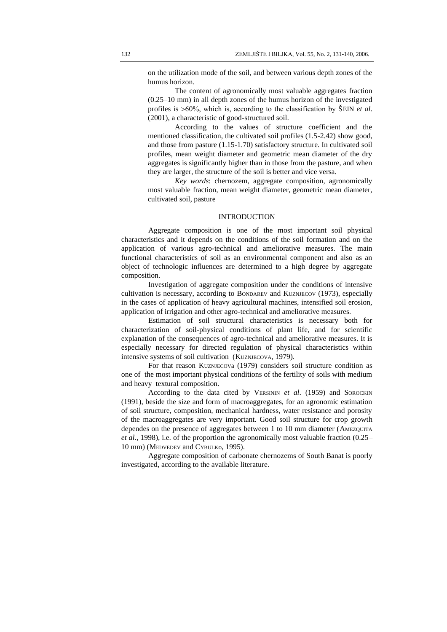on the utilization mode of the soil, and between various depth zones of the humus horizon.

The content of agronomically most valuable aggregates fraction (0.25–10 mm) in all depth zones of the humus horizon of the investigated profiles is 60%, which is, according to the classification by ŠEIN *et al*. (2001), a characteristic of good-structured soil.

According to the values of structure coefficient and the mentioned classification, the cultivated soil profiles (1.5-2.42) show good, and those from pasture (1.15-1.70) satisfactory structure. In cultivated soil profiles, mean weight diameter and geometric mean diameter of the dry aggregates is significantly higher than in those from the pasture, and when they are larger, the structure of the soil is better and vice versa.

*Key words*: chernozem, aggregate composition, agronomically most valuable fraction, mean weight diameter, geometric mean diameter, cultivated soil, pasture

## INTRODUCTION

Aggregate composition is one of the most important soil physical characteristics and it depends on the conditions of the soil formation and on the application of various agro-technical and ameliorative measures. The main functional characteristics of soil as an environmental component and also as an object of technologic influences are determined to a high degree by aggregate composition.

Investigation of aggregate composition under the conditions of intensive cultivation is necessary, according to BONDAREV and KUZNJECOV (1973), especially in the cases of application of heavy agricultural machines, intensified soil erosion, application of irrigation and other agro-technical and ameliorative measures.

Estimation of soil structural characteristics is necessary both for characterization of soil-physical conditions of plant life, and for scientific explanation of the consequences of agro-technical and ameliorative measures. It is especially necessary for directed regulation of physical characteristics within intensive systems of soil cultivation (KUZNJECOVA, 1979).

For that reason KUZNJECOVa (1979) considers soil structure condition as one of the most important physical conditions of the fertility of soils with medium and heavy textural composition.

According to the data cited by VERSININ *et al*. (1959) and SOROCKIN (1991), beside the size and form of macroaggregates, for an agronomic estimation of soil structure, composition, mechanical hardness, water resistance and porosity of the macroaggregates are very important. Good soil structure for crop growth dependes on the presence of aggregates between 1 to 10 mm diameter (AMEZQUITA *et al*., 1998), i.e. of the proportion the agronomically most valuable fraction (0.25– 10 mm) (MEDVEDEV and CYBULKo, 1995).

Aggregate composition of carbonate chernozems of South Banat is poorly investigated, according to the available literature.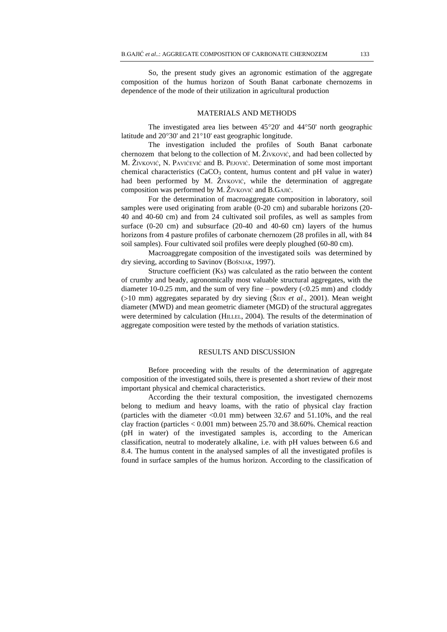So, the present study gives an agronomic estimation of the aggregate composition of the humus horizon of South Banat carbonate chernozems in dependence of the mode of their utilization in agricultural production

## MATERIALS AND METHODS

The investigated area lies between  $45^{\circ}20'$  and  $44^{\circ}50'$  north geographic latitude and  $20^{\circ}30'$  and  $21^{\circ}10'$  east geographic longitude.

The investigation included the profiles of South Banat carbonate chernozem that belong to the collection of M. ŽIVKOVIĆ, and had been collected by M. ŽIVKOVIĆ, N. PAVIĆEVIĆ and B. PEJOVIĆ. Determination of some most important chemical characteristics  $(CaCO<sub>3</sub>$  content, humus content and pH value in water) had been performed by M. ŽIVKOVIĆ, while the determination of aggregate composition was performed by M. ŽIVKOVIĆ and B.GAJIĆ.

For the determination of macroaggregate composition in laboratory, soil samples were used originating from arable (0-20 cm) and subarable horizons (20- 40 and 40-60 cm) and from 24 cultivated soil profiles, as well as samples from surface (0-20 cm) and subsurface (20-40 and 40-60 cm) layers of the humus horizons from 4 pasture profiles of carbonate chernozem (28 profiles in all, with 84 soil samples). Four cultivated soil profiles were deeply ploughed (60-80 cm).

Macroaggregate composition of the investigated soils was determined by dry sieving, according to Savinov (BOŠNJAK, 1997).

Structure coefficient (Ks) was calculated as the ratio between the content of crumby and beady, agronomically most valuable structural aggregates, with the diameter 10-0.25 mm, and the sum of very fine – powdery  $(<0.25$  mm) and cloddy (>10 mm) aggregates separated by dry sieving (ŠEIN *et al.*, 2001). Mean weight diameter (MWD) and mean geometric diameter (MGD) of the structural aggregates were determined by calculation (HILLEL, 2004). The results of the determination of aggregate composition were tested by the methods of variation statistics.

#### RESULTS AND DISCUSSION

Before proceeding with the results of the determination of aggregate composition of the investigated soils, there is presented a short review of their most important physical and chemical characteristics.

According the their textural composition, the investigated chernozems belong to medium and heavy loams, with the ratio of physical clay fraction (particles with the diameter  $\langle 0.01 \text{ mm} \rangle$  between 32.67 and 51.10%, and the real clay fraction (particles < 0.001 mm) between 25.70 and 38.60%. Chemical reaction (pH in water) of the investigated samples is, according to the American classification, neutral to moderately alkaline, i.e. with pH values between 6.6 and 8.4. The humus content in the analysed samples of all the investigated profiles is found in surface samples of the humus horizon. According to the classification of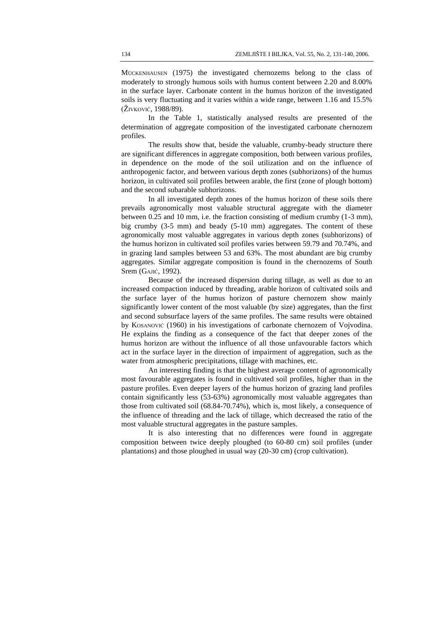MÜCKENHAUSEN (1975) the investigated chernozems belong to the class of moderately to strongly humous soils with humus content between 2.20 and 8.00% in the surface layer. Carbonate content in the humus horizon of the investigated soils is very fluctuating and it varies within a wide range, between 1.16 and 15.5% (ŽIVKOVIĆ, 1988/89).

In the Table 1, statistically analysed results are presented of the determination of aggregate composition of the investigated carbonate chernozem profiles.

The results show that, beside the valuable, crumby-beady structure there are significant differences in aggregate composition, both between various profiles, in dependence on the mode of the soil utilization and on the influence of anthropogenic factor, and between various depth zones (subhorizons) of the humus horizon, in cultivated soil profiles between arable, the first (zone of plough bottom) and the second subarable subhorizons.

In all investigated depth zones of the humus horizon of these soils there prevails agronomically most valuable structural aggregate with the diameter between 0.25 and 10 mm, i.e. the fraction consisting of medium crumby (1-3 mm), big crumby (3-5 mm) and beady (5-10 mm) aggregates. The content of these agronomically most valuable aggregates in various depth zones (subhorizons) of the humus horizon in cultivated soil profiles varies between 59.79 and 70.74%, and in grazing land samples between 53 and 63%. The most abundant are big crumby aggregates. Similar aggregate composition is found in the chernozems of South Srem (GAJIĆ, 1992).

Because of the increased dispersion during tillage, as well as due to an increased compaction induced by threading, arable horizon of cultivated soils and the surface layer of the humus horizon of pasture chernozem show mainly significantly lower content of the most valuable (by size) aggregates, than the first and second subsurface layers of the same profiles. The same results were obtained by KOSANOVIĆ (1960) in his investigations of carbonate chernozem of Vojvodina. He explains the finding as a consequence of the fact that deeper zones of the humus horizon are without the influence of all those unfavourable factors which act in the surface layer in the direction of impairment of aggregation, such as the water from atmospheric precipitations, tillage with machines, etc.

An interesting finding is that the highest average content of agronomically most favourable aggregates is found in cultivated soil profiles, higher than in the pasture profiles. Even deeper layers of the humus horizon of grazing land profiles contain significantly less (53-63%) agronomically most valuable aggregates than those from cultivated soil (68.84-70.74%), which is, most likely, a consequence of the influence of threading and the lack of tillage, which decreased the ratio of the most valuable structural aggregates in the pasture samples.

It is also interesting that no differences were found in aggregate composition between twice deeply ploughed (to 60-80 cm) soil profiles (under plantations) and those ploughed in usual way (20-30 cm) (crop cultivation).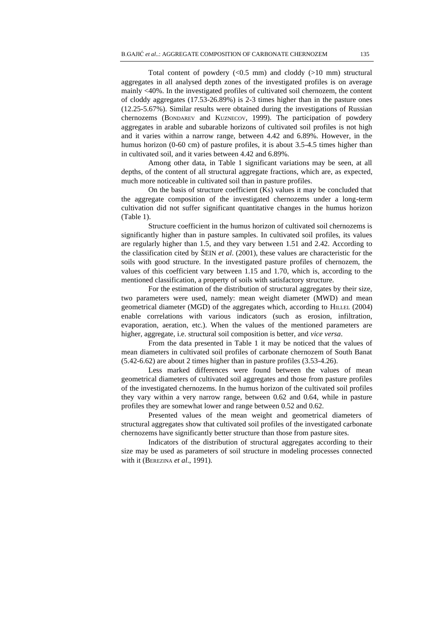Total content of powdery  $(<0.5$  mm) and cloddy  $(>10$  mm) structural aggregates in all analysed depth zones of the investigated profiles is on average mainly <40%. In the investigated profiles of cultivated soil chernozem, the content of cloddy aggregates (17.53-26.89%) is 2-3 times higher than in the pasture ones (12.25-5.67%). Similar results were obtained during the investigations of Russian chernozems (BONDAREV and KUZNECOV, 1999). The participation of powdery aggregates in arable and subarable horizons of cultivated soil profiles is not high and it varies within a narrow range, between 4.42 and 6.89%. However, in the humus horizon (0-60 cm) of pasture profiles, it is about 3.5-4.5 times higher than in cultivated soil, and it varies between 4.42 and 6.89%.

Among other data, in Table 1 significant variations may be seen, at all depths, of the content of all structural aggregate fractions, which are, as expected, much more noticeable in cultivated soil than in pasture profiles.

On the basis of structure coefficient (Ks) values it may be concluded that the aggregate composition of the investigated chernozems under a long-term cultivation did not suffer significant quantitative changes in the humus horizon (Table 1).

Structure coefficient in the humus horizon of cultivated soil chernozems is significantly higher than in pasture samples. In cultivated soil profiles, its values are regularly higher than 1.5, and they vary between 1.51 and 2.42. According to the classification cited by ŠEIN *et al*. (2001), these values are characteristic for the soils with good structure. In the investigated pasture profiles of chernozem, the values of this coefficient vary between 1.15 and 1.70, which is, according to the mentioned classification, a property of soils with satisfactory structure.

For the estimation of the distribution of structural aggregates by their size, two parameters were used, namely: mean weight diameter (MWD) and mean geometrical diameter (MGD) of the aggregates which, according to HILLEL (2004) enable correlations with various indicators (such as erosion, infiltration, evaporation, aeration, etc.). When the values of the mentioned parameters are higher, aggregate, i.e. structural soil composition is better, and *vice versa*.

From the data presented in Table 1 it may be noticed that the values of mean diameters in cultivated soil profiles of carbonate chernozem of South Banat (5.42-6.62) are about 2 times higher than in pasture profiles (3.53-4.26).

Less marked differences were found between the values of mean geometrical diameters of cultivated soil aggregates and those from pasture profiles of the investigated chernozems. In the humus horizon of the cultivated soil profiles they vary within a very narrow range, between 0.62 and 0.64, while in pasture profiles they are somewhat lower and range between 0.52 and 0.62.

Presented values of the mean weight and geometrical diameters of structural aggregates show that cultivated soil profiles of the investigated carbonate chernozems have significantly better structure than those from pasture sites.

Indicators of the distribution of structural aggregates according to their size may be used as parameters of soil structure in modeling processes connected with it (BEREZINA *et al*., 1991).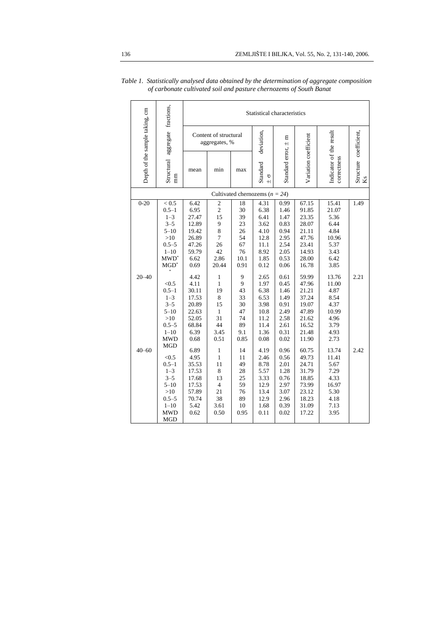|                                  |                                                                                                                  | Statistical characteristics                                                                |                                                                                                 |                                                                 |                                                                                      |                                                                                      |                                                                                                 |                                                                                          |                              |  |
|----------------------------------|------------------------------------------------------------------------------------------------------------------|--------------------------------------------------------------------------------------------|-------------------------------------------------------------------------------------------------|-----------------------------------------------------------------|--------------------------------------------------------------------------------------|--------------------------------------------------------------------------------------|-------------------------------------------------------------------------------------------------|------------------------------------------------------------------------------------------|------------------------------|--|
| Depth of the sample taking, cm   | Structural aggregate fractions,<br>$\mathbf{m}$                                                                  | Content of structural<br>aggregates, %                                                     |                                                                                                 |                                                                 | deviation,                                                                           | Ξ<br>$+$                                                                             |                                                                                                 |                                                                                          |                              |  |
|                                  |                                                                                                                  | mean                                                                                       | min                                                                                             | max                                                             | Standard<br>ь<br>$+1$                                                                | Standard error,                                                                      | Variation coefficient                                                                           | Indicator of the result<br>correctness                                                   | Structure coefficient,<br>Ks |  |
| Cultivated chernozems $(n = 24)$ |                                                                                                                  |                                                                                            |                                                                                                 |                                                                 |                                                                                      |                                                                                      |                                                                                                 |                                                                                          |                              |  |
| $0 - 20$                         | < 0.5<br>$0.5 - 1$<br>$1 - 3$<br>$3 - 5$<br>$5 - 10$<br>>10<br>$0.5 - 5$<br>$1 - 10$<br>$MWD^*$<br>$MGD^*$       | 6.42<br>6.95<br>27.47<br>12.89<br>19.42<br>26.89<br>47.26<br>59.79<br>6.62<br>0.69         | $\mathfrak{2}$<br>$\overline{c}$<br>15<br>9<br>8<br>$\overline{7}$<br>26<br>42<br>2.86<br>20.44 | 18<br>30<br>39<br>23<br>26<br>54<br>67<br>76<br>10.1<br>0.91    | 4.31<br>6.38<br>6.41<br>3.62<br>4.10<br>12.8<br>11.1<br>8.92<br>1.85<br>0.12         | 0.99<br>1.46<br>1.47<br>0.83<br>0.94<br>2.95<br>2.54<br>2.05<br>0.53<br>0.06         | 67.15<br>91.85<br>23.35<br>28.07<br>21.11<br>47.76<br>23.41<br>14.93<br>28.00<br>16.78          | 15.41<br>21.07<br>5.36<br>6.44<br>4.84<br>10.96<br>5.37<br>3.43<br>6.42<br>3.85          | 1.49                         |  |
| $20 - 40$<br>$40 - 60$           | < 0.5<br>$0.5 - 1$<br>$1 - 3$<br>$3 - 5$<br>$5 - 10$<br>>10<br>$0.5 - 5$<br>$1 - 10$<br><b>MWD</b><br><b>MGD</b> | 4.42<br>4.11<br>30.11<br>17.53<br>20.89<br>22.63<br>52.05<br>68.84<br>6.39<br>0.68<br>6.89 | $\mathbf{1}$<br>1<br>19<br>8<br>15<br>$\mathbf{1}$<br>31<br>44<br>3.45<br>0.51<br>$\mathbf{1}$  | 9<br>9<br>43<br>33<br>30<br>47<br>74<br>89<br>9.1<br>0.85<br>14 | 2.65<br>1.97<br>6.38<br>6.53<br>3.98<br>10.8<br>11.2<br>11.4<br>1.36<br>0.08<br>4.19 | 0.61<br>0.45<br>1.46<br>1.49<br>0.91<br>2.49<br>2.58<br>2.61<br>0.31<br>0.02<br>0.96 | 59.99<br>47.96<br>21.21<br>37.24<br>19.07<br>47.89<br>21.62<br>16.52<br>21.48<br>11.90<br>60.75 | 13.76<br>11.00<br>4.87<br>8.54<br>4.37<br>10.99<br>4.96<br>3.79<br>4.93<br>2.73<br>13.74 | 2.21<br>2.42                 |  |
|                                  | < 0.5<br>$0.5 - 1$<br>$1 - 3$<br>$3 - 5$<br>$5 - 10$<br>>10<br>$0.5 - 5$<br>$1 - 10$<br><b>MWD</b><br><b>MGD</b> | 4.95<br>35.53<br>17.53<br>17.68<br>17.53<br>57.89<br>70.74<br>5.42<br>0.62                 | $\mathbf{1}$<br>11<br>8<br>13<br>$\overline{4}$<br>21<br>38<br>3.61<br>0.50                     | 11<br>49<br>28<br>25<br>59<br>76<br>89<br>10<br>0.95            | 2.46<br>8.78<br>5.57<br>3.33<br>12.9<br>13.4<br>12.9<br>1.68<br>0.11                 | 0.56<br>2.01<br>1.28<br>0.76<br>2.97<br>3.07<br>2.96<br>0.39<br>0.02                 | 49.73<br>24.71<br>31.79<br>18.85<br>73.99<br>23.12<br>18.23<br>31.09<br>17.22                   | 11.41<br>5.67<br>7.29<br>4.33<br>16.97<br>5.30<br>4.18<br>7.13<br>3.95                   |                              |  |

*Table 1. Statistically analysed data obtained by the determination of aggregate composition of carbonate cultivated soil and pasture chernozems of South Banat*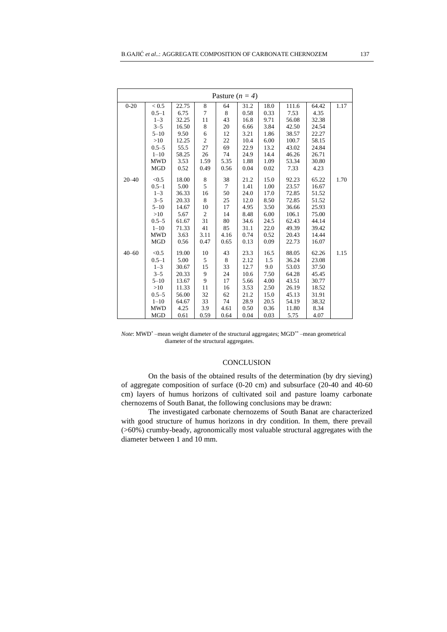| Pasture $(n = 4)$ |            |       |                |                |      |      |       |       |      |  |
|-------------------|------------|-------|----------------|----------------|------|------|-------|-------|------|--|
| $0 - 20$          | < 0.5      | 22.75 | 8              | 64             | 31.2 | 18.0 | 111.6 | 64.42 | 1.17 |  |
|                   | $0.5 - 1$  | 6.75  | $\overline{7}$ | 8              | 0.58 | 0.33 | 7.53  | 4.35  |      |  |
|                   | $1 - 3$    | 32.25 | 11             | 43             | 16.8 | 9.71 | 56.08 | 32.38 |      |  |
|                   | $3 - 5$    | 16.50 | 8              | 20             | 6.66 | 3.84 | 42.50 | 24.54 |      |  |
|                   | $5 - 10$   | 9.50  | 6              | 12             | 3.21 | 1.86 | 38.57 | 22.27 |      |  |
|                   | >10        | 12.25 | $\overline{c}$ | 22             | 10.4 | 6.00 | 100.7 | 58.15 |      |  |
|                   | $0.5 - 5$  | 55.5  | 27             | 69             | 22.9 | 13.2 | 43.02 | 24.84 |      |  |
|                   | $1 - 10$   | 58.25 | 26             | 74             | 24.9 | 14.4 | 46.26 | 26.71 |      |  |
|                   | <b>MWD</b> | 3.53  | 1.59           | 5.35           | 1.88 | 1.09 | 53.34 | 30.80 |      |  |
|                   | <b>MGD</b> | 0.52  | 0.49           | 0.56           | 0.04 | 0.02 | 7.33  | 4.23  |      |  |
| $20 - 40$         | < 0.5      | 18.00 | 8              | 38             | 21.2 | 15.0 | 92.23 | 65.22 | 1.70 |  |
|                   | $0.5 - 1$  | 5.00  | 5              | $\overline{7}$ | 1.41 | 1.00 | 23.57 | 16.67 |      |  |
|                   | $1 - 3$    | 36.33 | 16             | 50             | 24.0 | 17.0 | 72.85 | 51.52 |      |  |
|                   | $3 - 5$    | 20.33 | 8              | 25             | 12.0 | 8.50 | 72.85 | 51.52 |      |  |
|                   | $5 - 10$   | 14.67 | 10             | 17             | 4.95 | 3.50 | 36.66 | 25.93 |      |  |
|                   | >10        | 5.67  | 2              | 14             | 8.48 | 6.00 | 106.1 | 75.00 |      |  |
|                   | $0.5 - 5$  | 61.67 | 31             | 80             | 34.6 | 24.5 | 62.43 | 44.14 |      |  |
|                   | $1 - 10$   | 71.33 | 41             | 85             | 31.1 | 22.0 | 49.39 | 39.42 |      |  |
|                   | <b>MWD</b> | 3.63  | 3.11           | 4.16           | 0.74 | 0.52 | 20.43 | 14.44 |      |  |
|                   | <b>MGD</b> | 0.56  | 0.47           | 0.65           | 0.13 | 0.09 | 22.73 | 16.07 |      |  |
| $40 - 60$         | < 0.5      | 19.00 | 10             | 43             | 23.3 | 16.5 | 88.05 | 62.26 | 1.15 |  |
|                   | $0.5 - 1$  | 5.00  | 5              | 8              | 2.12 | 1.5  | 36.24 | 23.08 |      |  |
|                   | $1 - 3$    | 30.67 | 15             | 33             | 12.7 | 9.0  | 53.03 | 37.50 |      |  |
|                   | $3 - 5$    | 20.33 | 9              | 24             | 10.6 | 7.50 | 64.28 | 45.45 |      |  |
|                   | $5 - 10$   | 13.67 | 9              | 17             | 5.66 | 4.00 | 43.51 | 30.77 |      |  |
|                   | >10        | 11.33 | 11             | 16             | 3.53 | 2.50 | 26.19 | 18.52 |      |  |
|                   | $0.5 - 5$  | 56.00 | 32             | 62             | 21.2 | 15.0 | 45.13 | 31.91 |      |  |
|                   | $1 - 10$   | 64.67 | 33             | 74             | 28.9 | 20.5 | 54.19 | 38.32 |      |  |
|                   | <b>MWD</b> | 4.25  | 3.9            | 4.61           | 0.50 | 0.36 | 11.80 | 8.34  |      |  |
|                   | MGD        | 0.61  | 0.59           | 0.64           | 0.04 | 0.03 | 5.75  | 4.07  |      |  |

*Note*: MWD\* –mean weight diameter of the structural aggregates; MGD\*\* –mean geometrical diameter of the structural aggregates.

## **CONCLUSION**

On the basis of the obtained results of the determination (by dry sieving) of aggregate composition of surface (0-20 cm) and subsurface (20-40 and 40-60 cm) layers of humus horizons of cultivated soil and pasture loamy carbonate chernozems of South Banat, the following conclusions may be drawn:

The investigated carbonate chernozems of South Banat are characterized with good structure of humus horizons in dry condition. In them, there prevail (>60%) crumby-beady, agronomically most valuable structural aggregates with the diameter between 1 and 10 mm.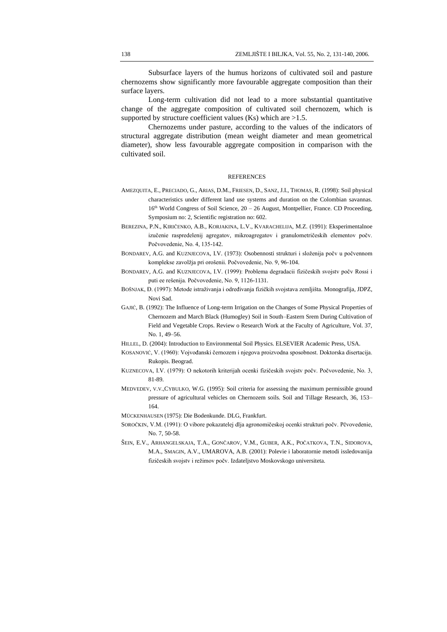Subsurface layers of the humus horizons of cultivated soil and pasture chernozems show significantly more favourable aggregate composition than their surface layers.

Long-term cultivation did not lead to a more substantial quantitative change of the aggregate composition of cultivated soil chernozem, which is supported by structure coefficient values (Ks) which are  $>1.5$ .

Chernozems under pasture, according to the values of the indicators of structural aggregate distribution (mean weight diameter and mean geometrical diameter), show less favourable aggregate composition in comparison with the cultivated soil.

#### **REFERENCES**

- AMEZQUITA, E., PRECIADO, G., ARIAS, D.M., FRIESEN, D., SANZ, J.I., THOMAS, R. (1998): Soil physical characteristics under different land use systems and duration on the Colombian savannas.  $16<sup>th</sup>$  World Congress of Soil Science,  $20 - 26$  August, Montpellier, France. CD Proceeding, Symposium no: 2, Scientific registration no: 602.
- BEREZINA, P.N., KIRIČENKO, A.B., KORJAKINA, L.V., KVARACHELIJA, M.Z. (1991): Eksperimentalnoe izučenie raspredelenij agregatov, mikroagregatov i granulometričeskih elementov počv. Počvovedenie, No. 4, 135-142.
- BONDAREV, A.G. and KUZNJECOVA, I.V. (1973): Osobennosti strukturi i složenija počv u počvennom komplekse zavolžja pri orošenii. Počvovedenie, No. 9, 96-104.
- BONDAREV, A.G. and KUZNJECOVA, I.V. (1999): Problema degradacii fizičeskih svojstv počv Rossi i puti ee rešenija. Počvovedenie, No. 9, 1126-1131.
- BOŠNJAK, Đ. (1997): Metode istraživanja i određivanja fizičkih svojstava zemljišta. Monografija, JDPZ, Novi Sad.
- GAJIĆ, B. (1992): The Influence of Long-term Irrigation on the Changes of Some Physical Properties of Chernozem and March Black (Humogley) Soil in South–Eastern Srem During Cultivation of Field and Vegetable Crops. Review o Research Work at the Faculty of Agriculture, Vol. 37, No. 1, 49–56.
- HILLEL, D. (2004): Introduction to Environmental Soil Physics. ELSEVIER Academic Press, USA.
- KOSANOVIĆ, V. (1960): Vojvođanski černozem i njegova proizvodna sposobnost. Doktorska disertacija. Rukopis. Beograd.
- KUZNECOVA, I.V. (1979): O nekotorih kriterijah ocenki fizičeskih svojstv počv. Počvovedenie, No. 3, 81-89.
- MEDVEDEV, V.V.,CYBULKO, W.G. (1995): Soil criteria for assessing the maximum permissible ground pressure of agricultural vehicles on Chernozem soils. Soil and Tillage Research, 36, 153– 164.
- MÜCKENHAUSEN (1975): Die Bodenkunde. DLG, Frankfurt.
- SOROČKIN, V.M. (1991): O vibore pokazatelej dlja agronomičeskoj ocenki strukturi počv. Pčvovedenie, No. 7, 50-58.
- ŠEIN, E.V., ARHANGELSKAJA, T.A., GONČAROV, V.M., GUBER, A.K., POČATKOVA, T.N., SIDOROVA, M.A., SMAGIN, A.V., UMAROVA, A.B. (2001): Polevie i laboratornie metodi issledovanija fizičeskih svojstv i režimov počv. Izdateljstvo Moskovskogo universiteta.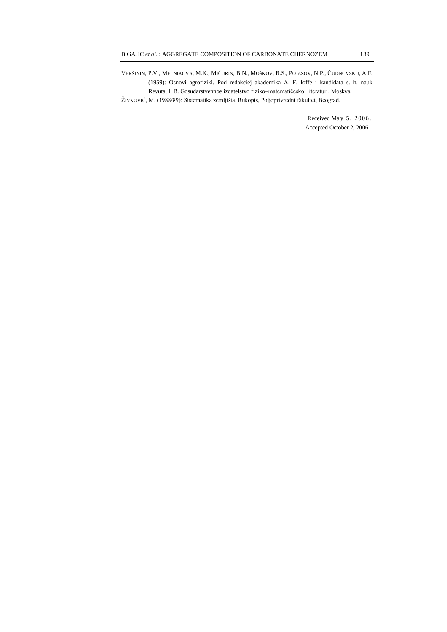VERŠININ, P.V., MELNIKOVA, M.K., MIČURIN, B.N., MOŠKOV, B.S., POJASOV, N.P., ČUDNOVSKIJ, A.F. (1959): Osnovi agrofiziki. Pod redakciej akademika A. F. Ioffe i kandidata s.–h. nauk Revuta, I. B. Gosudarstvennoe izdatelstvo fiziko–matematičeskoj literaturi. Moskva.

ŽIVKOVIĆ, M. (1988/89): Sistematika zemljišta. Rukopis, Poljoprivredni fakultet, Beograd.

Received May 5, 2006. Accepted October 2, 2006